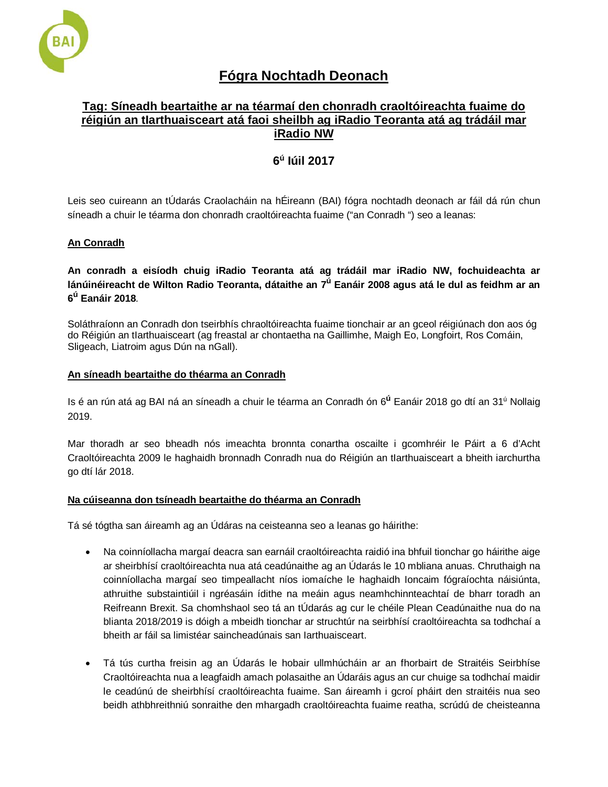

# **Fógra Nochtadh Deonach**

# **Tag: Síneadh beartaithe ar na téarmaí den chonradh craoltóireachta fuaime do réigiún an tIarthuaisceart atá faoi sheilbh ag iRadio Teoranta atá ag trádáil mar iRadio NW**

# **6<sup>ú</sup> Iúil 2017**

Leis seo cuireann an tÚdarás Craolacháin na hÉireann (BAI) fógra nochtadh deonach ar fáil dá rún chun síneadh a chuir le téarma don chonradh craoltóireachta fuaime ("an Conradh ") seo a leanas:

## **An Conradh**

**An conradh a eisíodh chuig iRadio Teoranta atá ag trádáil mar iRadio NW, fochuideachta ar lánúinéireacht de Wilton Radio Teoranta, dátaithe an 7ú Eanáir 2008 agus atá le dul as feidhm ar an 6ú Eanáir 2018***.*

Soláthraíonn an Conradh don tseirbhís chraoltóireachta fuaime tionchair ar an gceol réigiúnach don aos óg do Réigiún an tIarthuaisceart (ag freastal ar chontaetha na Gaillimhe, Maigh Eo, Longfoirt, Ros Comáin, Sligeach, Liatroim agus Dún na nGall).

## **An síneadh beartaithe do théarma an Conradh**

Is é an rún atá ag BAI ná an síneadh a chuir le téarma an Conradh ón 6**<sup>ú</sup>** Eanáir 2018 go dtí an 31ú Nollaig 2019.

Mar thoradh ar seo bheadh nós imeachta bronnta conartha oscailte i gcomhréir le Páirt a 6 d'Acht Craoltóireachta 2009 le haghaidh bronnadh Conradh nua do Réigiún an tIarthuaisceart a bheith iarchurtha go dtí lár 2018.

## **Na cúiseanna don tsíneadh beartaithe do théarma an Conradh**

Tá sé tógtha san áireamh ag an Údáras na ceisteanna seo a leanas go háirithe:

- Na coinníollacha margaí deacra san earnáil craoltóireachta raidió ina bhfuil tionchar go háirithe aige ar sheirbhísí craoltóireachta nua atá ceadúnaithe ag an Údarás le 10 mbliana anuas. Chruthaigh na coinníollacha margaí seo timpeallacht níos iomaíche le haghaidh Ioncaim fógraíochta náisiúnta, athruithe substaintiúil i ngréasáin ídithe na meáin agus neamhchinnteachtaí de bharr toradh an Reifreann Brexit. Sa chomhshaol seo tá an tÚdarás ag cur le chéile Plean Ceadúnaithe nua do na blianta 2018/2019 is dóigh a mbeidh tionchar ar struchtúr na seirbhísí craoltóireachta sa todhchaí a bheith ar fáil sa limistéar saincheadúnais san Iarthuaisceart.
- Tá tús curtha freisin ag an Údarás le hobair ullmhúcháin ar an fhorbairt de Straitéis Seirbhíse Craoltóireachta nua a leagfaidh amach polasaithe an Údaráis agus an cur chuige sa todhchaí maidir le ceadúnú de sheirbhísí craoltóireachta fuaime. San áireamh i gcroí pháirt den straitéis nua seo beidh athbhreithniú sonraithe den mhargadh craoltóireachta fuaime reatha, scrúdú de cheisteanna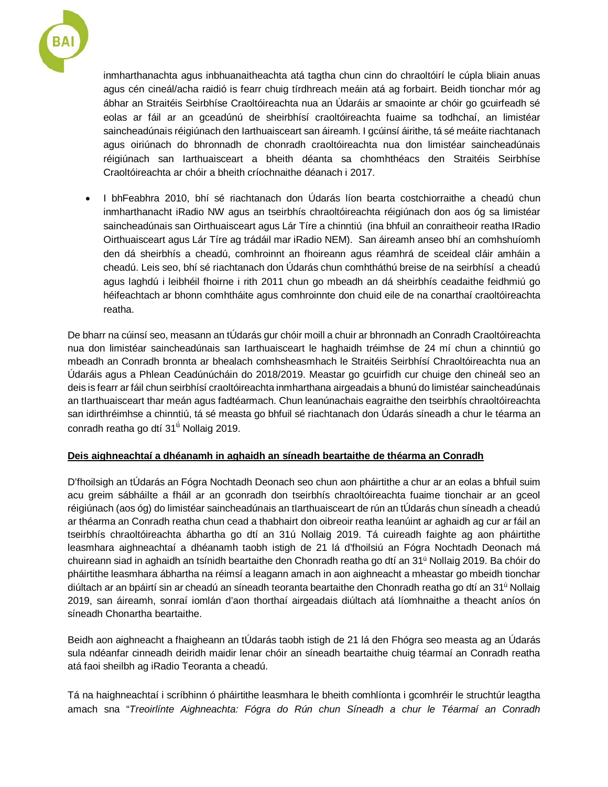

inmharthanachta agus inbhuanaitheachta atá tagtha chun cinn do chraoltóirí le cúpla bliain anuas agus cén cineál/acha raidió is fearr chuig tírdhreach meáin atá ag forbairt. Beidh tionchar mór ag ábhar an Straitéis Seirbhíse Craoltóireachta nua an Údaráis ar smaointe ar chóir go gcuirfeadh sé eolas ar fáil ar an gceadúnú de sheirbhísí craoltóireachta fuaime sa todhchaí, an limistéar saincheadúnais réigiúnach den Iarthuaisceart san áireamh. I gcúinsí áirithe, tá sé meáite riachtanach agus oiriúnach do bhronnadh de chonradh craoltóireachta nua don limistéar saincheadúnais réigiúnach san Iarthuaisceart a bheith déanta sa chomhthéacs den Straitéis Seirbhíse Craoltóireachta ar chóir a bheith críochnaithe déanach i 2017.

• I bhFeabhra 2010, bhí sé riachtanach don Údarás líon bearta costchiorraithe a cheadú chun inmharthanacht iRadio NW agus an tseirbhís chraoltóireachta réigiúnach don aos óg sa limistéar saincheadúnais san Oirthuaisceart agus Lár Tíre a chinntiú (ina bhfuil an conraitheoir reatha IRadio Oirthuaisceart agus Lár Tíre ag trádáil mar iRadio NEM). San áireamh anseo bhí an comhshuíomh den dá sheirbhís a cheadú, comhroinnt an fhoireann agus réamhrá de sceideal cláir amháin a cheadú. Leis seo, bhí sé riachtanach don Údarás chun comhtháthú breise de na seirbhísí a cheadú agus laghdú i leibhéil fhoirne i rith 2011 chun go mbeadh an dá sheirbhís ceadaithe feidhmiú go héifeachtach ar bhonn comhtháite agus comhroinnte don chuid eile de na conarthaí craoltóireachta reatha.

De bharr na cúinsí seo, measann an tÚdarás gur chóir moill a chuir ar bhronnadh an Conradh Craoltóireachta nua don limistéar saincheadúnais san Iarthuaisceart le haghaidh tréimhse de 24 mí chun a chinntiú go mbeadh an Conradh bronnta ar bhealach comhsheasmhach le Straitéis Seirbhísí Chraoltóireachta nua an Údaráis agus a Phlean Ceadúnúcháin do 2018/2019. Meastar go gcuirfidh cur chuige den chineál seo an deis is fearr ar fáil chun seirbhísí craoltóireachta inmharthana airgeadais a bhunú do limistéar saincheadúnais an tIarthuaisceart thar meán agus fadtéarmach. Chun leanúnachais eagraithe den tseirbhís chraoltóireachta san idirthréimhse a chinntiú, tá sé measta go bhfuil sé riachtanach don Údarás síneadh a chur le téarma an conradh reatha go dtí 31<sup>ú</sup> Nollaig 2019.

## **Deis aighneachtaí a dhéanamh in aghaidh an síneadh beartaithe de théarma an Conradh**

D'fhoilsigh an tÚdarás an Fógra Nochtadh Deonach seo chun aon pháirtithe a chur ar an eolas a bhfuil suim acu greim sábháilte a fháil ar an gconradh don tseirbhís chraoltóireachta fuaime tionchair ar an gceol réigiúnach (aos óg) do limistéar saincheadúnais an tIarthuaisceart de rún an tÚdarás chun síneadh a cheadú ar théarma an Conradh reatha chun cead a thabhairt don oibreoir reatha leanúint ar aghaidh ag cur ar fáil an tseirbhís chraoltóireachta ábhartha go dtí an 31ú Nollaig 2019. Tá cuireadh faighte ag aon pháirtithe leasmhara aighneachtaí a dhéanamh taobh istigh de 21 lá d'fhoilsiú an Fógra Nochtadh Deonach má chuireann siad in aghaidh an tsínidh beartaithe den Chonradh reatha go dtí an 31ú Nollaig 2019. Ba chóir do pháirtithe leasmhara ábhartha na réimsí a leagann amach in aon aighneacht a mheastar go mbeidh tionchar diúltach ar an bpáirtí sin ar cheadú an síneadh teoranta beartaithe den Chonradh reatha go dtí an 31ú Nollaig 2019, san áireamh, sonraí iomlán d'aon thorthaí airgeadais diúltach atá líomhnaithe a theacht aníos ón síneadh Chonartha beartaithe.

Beidh aon aighneacht a fhaigheann an tÚdarás taobh istigh de 21 lá den Fhógra seo measta ag an Údarás sula ndéanfar cinneadh deiridh maidir lenar chóir an síneadh beartaithe chuig téarmaí an Conradh reatha atá faoi sheilbh ag iRadio Teoranta a cheadú.

Tá na haighneachtaí i scríbhinn ó pháirtithe leasmhara le bheith comhlíonta i gcomhréir le struchtúr leagtha amach sna "*Treoirlínte Aighneachta: Fógra do Rún chun Síneadh a chur le Téarmaí an Conradh*